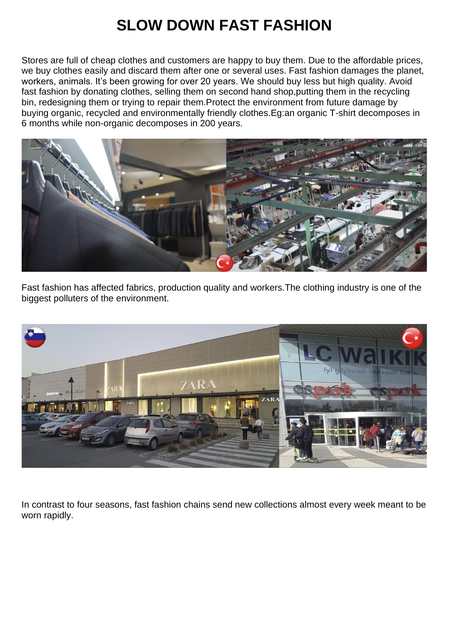## **SLOW DOWN FAST FASHION**

Stores are full of cheap clothes and customers are happy to buy them. Due to the affordable prices, we buy clothes easily and discard them after one or several uses. Fast fashion damages the planet, workers, animals. It's been growing for over 20 years. We should buy less but high quality. Avoid fast fashion by donating clothes, selling them on second hand shop,putting them in the recycling bin, redesigning them or trying to repair them.Protect the environment from future damage by buying organic, recycled and environmentally friendly clothes.Eg:an organic T-shirt decomposes in 6 months while non-organic decomposes in 200 years.



Fast fashion has affected fabrics, production quality and workers.The clothing industry is one of the biggest polluters of the environment.



In contrast to four seasons, fast fashion chains send new collections almost every week meant to be worn rapidly.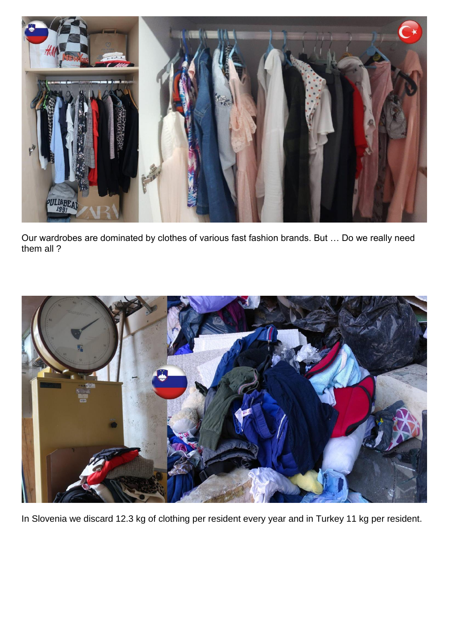

Our wardrobes are dominated by clothes of various fast fashion brands. But … Do we really need them all ?



In Slovenia we discard 12.3 kg of clothing per resident every year and in Turkey 11 kg per resident.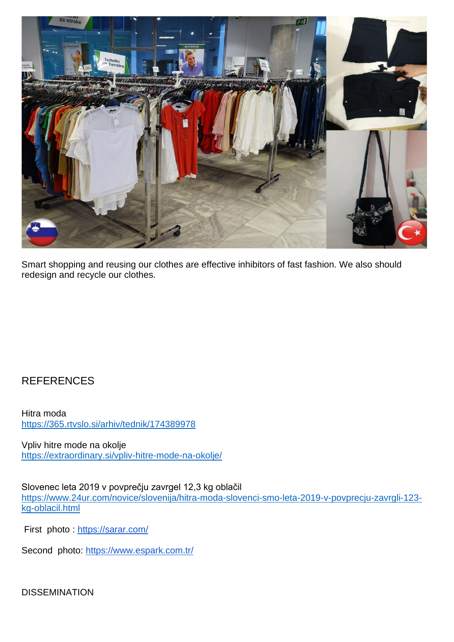

Smart shopping and reusing our clothes are effective inhibitors of fast fashion. We also should redesign and recycle our clothes.

## **REFERENCES**

Hitra moda <https://365.rtvslo.si/arhiv/tednik/174389978>

Vpliv hitre mode na okolje <https://extraordinary.si/vpliv-hitre-mode-na-okolje/>

Slovenec leta 2019 v povprečju zavrgel 12,3 kg oblačil [https://www.24ur.com/novice/slovenija/hitra-moda-slovenci-smo-leta-2019-v-povprecju-zavrgli-123](https://www.24ur.com/novice/slovenija/hitra-moda-slovenci-smo-leta-2019-v-povprecju-zavrgli-123-kg-oblacil.html) [kg-oblacil.html](https://www.24ur.com/novice/slovenija/hitra-moda-slovenci-smo-leta-2019-v-povprecju-zavrgli-123-kg-oblacil.html)

First photo :<https://sarar.com/>

Second photo:<https://www.espark.com.tr/>

DISSEMINATION